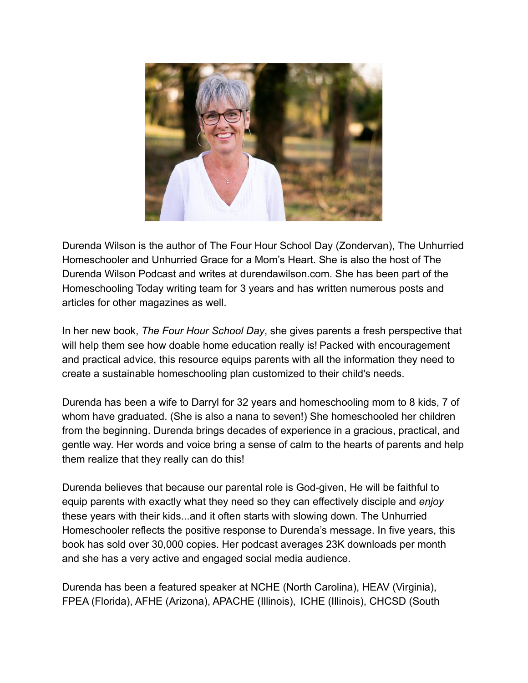

Durenda Wilson is the author of The Four Hour School Day (Zondervan), The Unhurried Homeschooler and Unhurried Grace for a Mom's Heart. She is also the host of The Durenda Wilson Podcast and writes at durendawilson.com. She has been part of the Homeschooling Today writing team for 3 years and has written numerous posts and articles for other magazines as well.

In her new book, *The Four Hour School Day*, she gives parents a fresh perspective that will help them see how doable home education really is! Packed with encouragement and practical advice, this resource equips parents with all the information they need to create a sustainable homeschooling plan customized to their child's needs.

Durenda has been a wife to Darryl for 32 years and homeschooling mom to 8 kids, 7 of whom have graduated. (She is also a nana to seven!) She homeschooled her children from the beginning. Durenda brings decades of experience in a gracious, practical, and gentle way. Her words and voice bring a sense of calm to the hearts of parents and help them realize that they really can do this!

Durenda believes that because our parental role is God-given, He will be faithful to equip parents with exactly what they need so they can effectively disciple and *enjoy* these years with their kids...and it often starts with slowing down. The Unhurried Homeschooler reflects the positive response to Durenda's message. In five years, this book has sold over 30,000 copies. Her podcast averages 23K downloads per month and she has a very active and engaged social media audience.

Durenda has been a featured speaker at NCHE (North Carolina), HEAV (Virginia), FPEA (Florida), AFHE (Arizona), APACHE (Illinois), ICHE (Illinois), CHCSD (South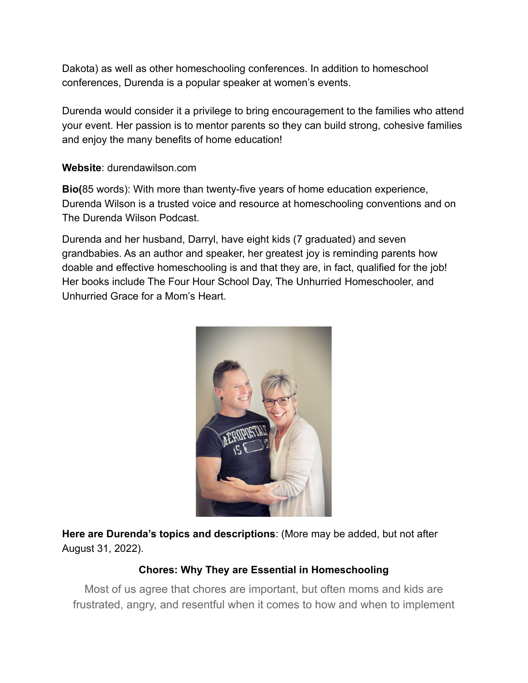Dakota) as well as other homeschooling conferences. In addition to homeschool conferences, Durenda is a popular speaker at women's events.

Durenda would consider it a privilege to bring encouragement to the families who attend your event. Her passion is to mentor parents so they can build strong, cohesive families and enjoy the many benefits of home education!

#### **Website**: durendawilson.com

**Bio(**85 words): With more than twenty-five years of home education experience, Durenda Wilson is a trusted voice and resource at homeschooling conventions and on The Durenda Wilson Podcast.

Durenda and her husband, Darryl, have eight kids (7 graduated) and seven grandbabies. As an author and speaker, her greatest joy is reminding parents how doable and effective homeschooling is and that they are, in fact, qualified for the job! Her books include The Four Hour School Day, The Unhurried Homeschooler, and Unhurried Grace for a Mom's Heart.



**Here are Durenda's topics and descriptions**: (More may be added, but not after August 31, 2022).

# **Chores: Why They are Essential in Homeschooling**

Most of us agree that chores are important, but often moms and kids are frustrated, angry, and resentful when it comes to how and when to implement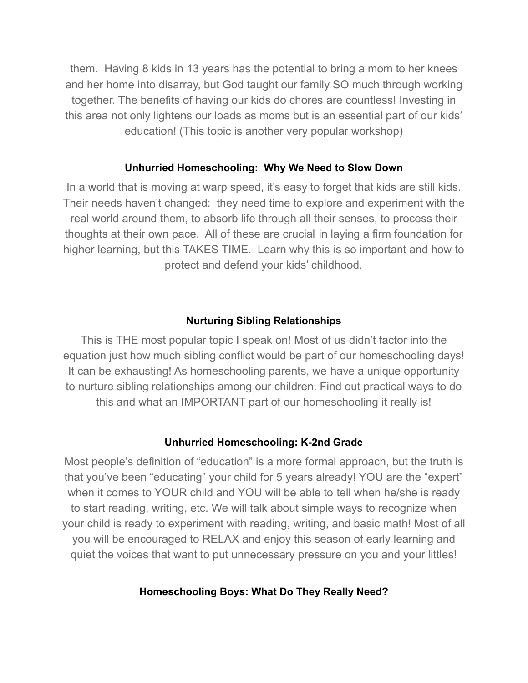them. Having 8 kids in 13 years has the potential to bring a mom to her knees and her home into disarray, but God taught our family SO much through working together. The benefits of having our kids do chores are countless! Investing in this area not only lightens our loads as moms but is an essential part of our kids' education! (This topic is another very popular workshop)

#### **Unhurried Homeschooling: Why We Need to Slow Down**

In a world that is moving at warp speed, it's easy to forget that kids are still kids. Their needs haven't changed: they need time to explore and experiment with the real world around them, to absorb life through all their senses, to process their thoughts at their own pace. All of these are crucial in laying a firm foundation for higher learning, but this TAKES TIME. Learn why this is so important and how to protect and defend your kids' childhood.

#### **Nurturing Sibling Relationships**

This is THE most popular topic I speak on! Most of us didn't factor into the equation just how much sibling conflict would be part of our homeschooling days! It can be exhausting! As homeschooling parents, we have a unique opportunity to nurture sibling relationships among our children. Find out practical ways to do this and what an IMPORTANT part of our homeschooling it really is!

#### **Unhurried Homeschooling: K-2nd Grade**

Most people's definition of "education" is a more formal approach, but the truth is that you've been "educating" your child for 5 years already! YOU are the "expert" when it comes to YOUR child and YOU will be able to tell when he/she is ready to start reading, writing, etc. We will talk about simple ways to recognize when your child is ready to experiment with reading, writing, and basic math! Most of all you will be encouraged to RELAX and enjoy this season of early learning and quiet the voices that want to put unnecessary pressure on you and your littles!

#### **Homeschooling Boys: What Do They Really Need?**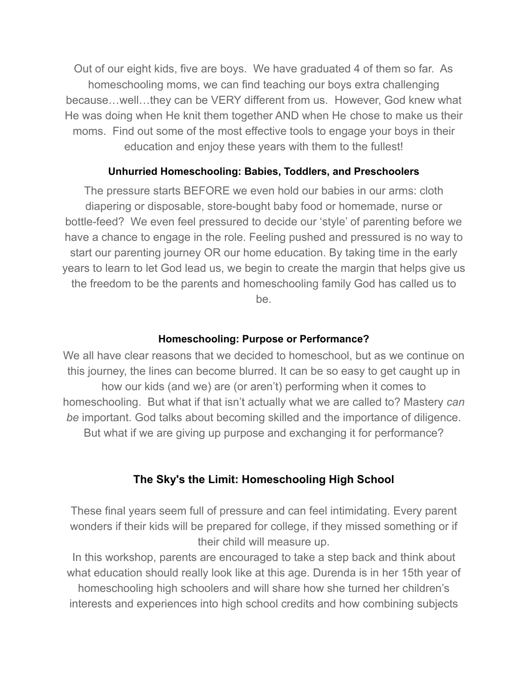Out of our eight kids, five are boys. We have graduated 4 of them so far. As homeschooling moms, we can find teaching our boys extra challenging because…well…they can be VERY different from us. However, God knew what He was doing when He knit them together AND when He chose to make us their moms. Find out some of the most effective tools to engage your boys in their education and enjoy these years with them to the fullest!

# **Unhurried Homeschooling: Babies, Toddlers, and Preschoolers**

The pressure starts BEFORE we even hold our babies in our arms: cloth diapering or disposable, store-bought baby food or homemade, nurse or bottle-feed? We even feel pressured to decide our 'style' of parenting before we have a chance to engage in the role. Feeling pushed and pressured is no way to start our parenting journey OR our home education. By taking time in the early years to learn to let God lead us, we begin to create the margin that helps give us the freedom to be the parents and homeschooling family God has called us to be.

# **Homeschooling: Purpose or Performance?**

We all have clear reasons that we decided to homeschool, but as we continue on this journey, the lines can become blurred. It can be so easy to get caught up in how our kids (and we) are (or aren't) performing when it comes to homeschooling. But what if that isn't actually what we are called to? Mastery *can be* important. God talks about becoming skilled and the importance of diligence. But what if we are giving up purpose and exchanging it for performance?

# **The Sky's the Limit: Homeschooling High School**

These final years seem full of pressure and can feel intimidating. Every parent wonders if their kids will be prepared for college, if they missed something or if their child will measure up.

In this workshop, parents are encouraged to take a step back and think about what education should really look like at this age. Durenda is in her 15th year of homeschooling high schoolers and will share how she turned her children's interests and experiences into high school credits and how combining subjects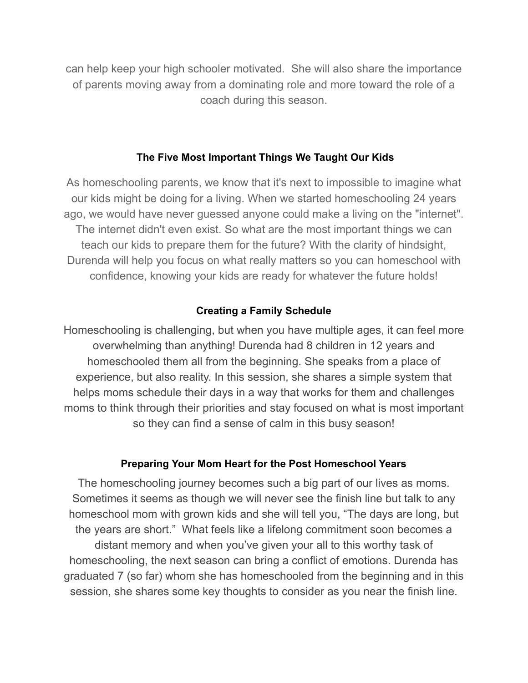can help keep your high schooler motivated. She will also share the importance of parents moving away from a dominating role and more toward the role of a coach during this season.

# **The Five Most Important Things We Taught Our Kids**

As homeschooling parents, we know that it's next to impossible to imagine what our kids might be doing for a living. When we started homeschooling 24 years ago, we would have never guessed anyone could make a living on the "internet". The internet didn't even exist. So what are the most important things we can teach our kids to prepare them for the future? With the clarity of hindsight, Durenda will help you focus on what really matters so you can homeschool with confidence, knowing your kids are ready for whatever the future holds!

# **Creating a Family Schedule**

Homeschooling is challenging, but when you have multiple ages, it can feel more overwhelming than anything! Durenda had 8 children in 12 years and homeschooled them all from the beginning. She speaks from a place of experience, but also reality. In this session, she shares a simple system that helps moms schedule their days in a way that works for them and challenges moms to think through their priorities and stay focused on what is most important so they can find a sense of calm in this busy season!

# **Preparing Your Mom Heart for the Post Homeschool Years**

The homeschooling journey becomes such a big part of our lives as moms. Sometimes it seems as though we will never see the finish line but talk to any homeschool mom with grown kids and she will tell you, "The days are long, but the years are short." What feels like a lifelong commitment soon becomes a distant memory and when you've given your all to this worthy task of homeschooling, the next season can bring a conflict of emotions. Durenda has graduated 7 (so far) whom she has homeschooled from the beginning and in this session, she shares some key thoughts to consider as you near the finish line.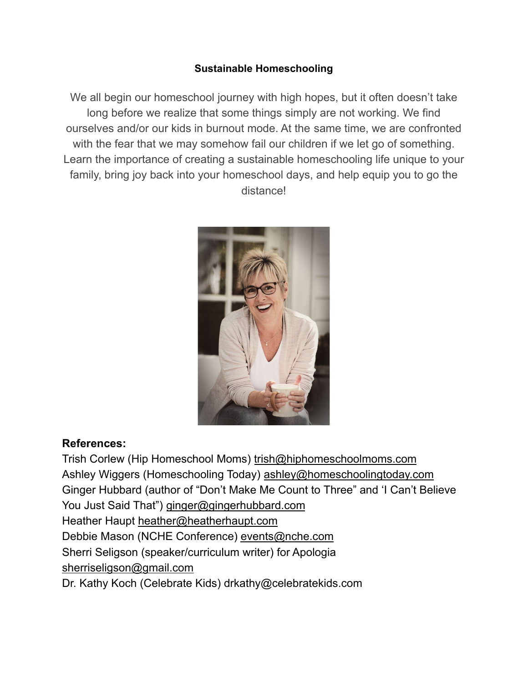# **Sustainable Homeschooling**

We all begin our homeschool journey with high hopes, but it often doesn't take long before we realize that some things simply are not working. We find ourselves and/or our kids in burnout mode. At the same time, we are confronted with the fear that we may somehow fail our children if we let go of something. Learn the importance of creating a sustainable homeschooling life unique to your family, bring joy back into your homeschool days, and help equip you to go the distance!



# **References:**

Trish Corlew (Hip Homeschool Moms) [trish@hiphomeschoolmoms.com](mailto:trish@hiphomeschoolmoms.com) Ashley Wiggers (Homeschooling Today) [ashley@homeschoolingtoday.com](mailto:ashley@homeschoolingtoday.com) Ginger Hubbard (author of "Don't Make Me Count to Three" and 'I Can't Believe You Just Said That") [ginger@gingerhubbard.com](mailto:ginger@gingerhubbard.com) Heather Haupt [heather@heatherhaupt.com](mailto:heather@heatherhaupt.com) Debbie Mason (NCHE Conference) [events@nche.com](mailto:events@nche.com) Sherri Seligson (speaker/curriculum writer) for Apologia [sherriseligson@gmail.com](mailto:sherriseligson@gmail.com) Dr. Kathy Koch (Celebrate Kids) drkathy@celebratekids.com